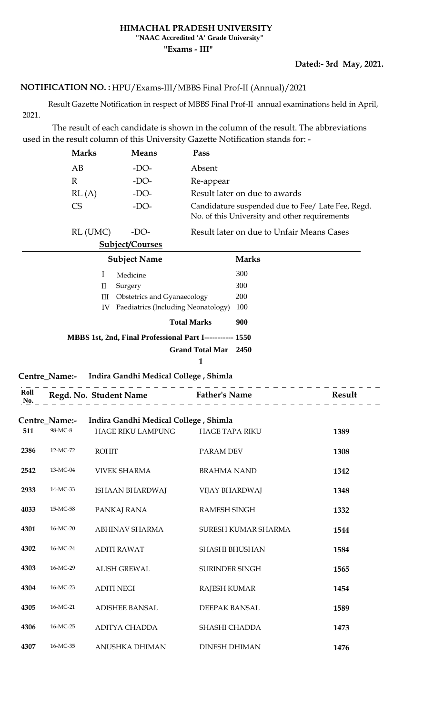### **HIMACHAL PRADESH UNIVERSITY "NAAC Accredited 'A' Grade University"**

**"Exams - III"**

### **Dated:- 3rd May, 2021.**

### <code>NOTIFICATION</code> NO. : <code>HPU/Exams-III/MBBS</code> Final Prof-II (Annual)/2021

 Result Gazette Notification in respect of MBBS Final Prof-II annual examinations held in April, 2021.

 The result of each candidate is shown in the column of the result. The abbreviations used in the result column of this University Gazette Notification stands for: -

| <b>Marks</b> | <b>Means</b> | Pass                                                                                               |
|--------------|--------------|----------------------------------------------------------------------------------------------------|
| AВ           | $-DO-$       | Absent                                                                                             |
| R            | $-DO-$       | Re-appear                                                                                          |
| RL(A)        | $-DO-$       | Result later on due to awards                                                                      |
| CS           | $-DO-$       | Candidature suspended due to Fee/ Late Fee, Regd.<br>No. of this University and other requirements |
| RL (UMC)     | -DO-         | Result later on due to Unfair Means Cases                                                          |

**Subject/Courses**

|    | <b>Subject Name</b>                                      | <b>Marks</b> |
|----|----------------------------------------------------------|--------------|
| I  | Medicine                                                 | 300          |
| П  | Surgery                                                  | 300          |
| Ш  | <b>Obstetrics and Gyanaecology</b>                       | <b>200</b>   |
| IV | Paediatrics (Including Neonatology)                      | 100          |
|    | <b>Total Marks</b>                                       | 900          |
|    | MBBS 1st, 2nd, Final Professional Part I----------- 1550 |              |
|    | <b>Grand Total Mar</b>                                   | 2450         |
|    |                                                          |              |

#### **Centre\_Name:- Indira Gandhi Medical College , Shimla**

| Roll | Reod |  |
|------|------|--|
| No.  |      |  |

|      | Centre Name:- | Indira Gandhi Medical College, Shimla |                       |      |
|------|---------------|---------------------------------------|-----------------------|------|
| 511  | 98-MC-8       | <b>HAGE RIKU LAMPUNG</b>              | <b>HAGE TAPA RIKU</b> | 1389 |
| 2386 | 12-MC-72      | <b>ROHIT</b>                          | PARAM DEV             | 1308 |
| 2542 | 13-MC-04      | <b>VIVEK SHARMA</b>                   | <b>BRAHMA NAND</b>    | 1342 |
| 2933 | 14-MC-33      | ISHAAN BHARDWAJ                       | <b>VIJAY BHARDWAJ</b> | 1348 |
| 4033 | 15-MC-58      | PANKAJ RANA                           | <b>RAMESH SINGH</b>   | 1332 |
| 4301 | 16-MC-20      | ABHINAV SHARMA                        | SURESH KUMAR SHARMA   | 1544 |
| 4302 | 16-MC-24      | <b>ADITI RAWAT</b>                    | <b>SHASHI BHUSHAN</b> | 1584 |
| 4303 | 16-MC-29      | <b>ALISH GREWAL</b>                   | <b>SURINDER SINGH</b> | 1565 |
| 4304 | 16-MC-23      | <b>ADITI NEGI</b>                     | <b>RAJESH KUMAR</b>   | 1454 |
| 4305 | 16-MC-21      | <b>ADISHEE BANSAL</b>                 | <b>DEEPAK BANSAL</b>  | 1589 |
| 4306 | 16-MC-25      | ADITYA CHADDA                         | SHASHI CHADDA         | 1473 |
| 4307 | 16-MC-35      | ANUSHKA DHIMAN                        | <b>DINESH DHIMAN</b>  | 1476 |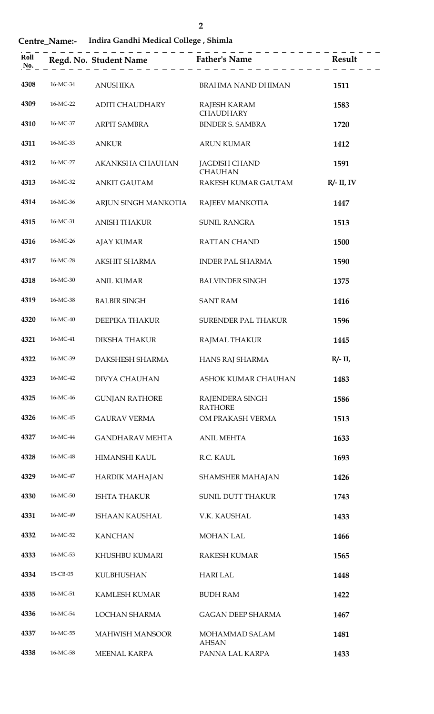**Centre\_Name:- Indira Gandhi Medical College , Shimla** 

| Roll<br>No. |          | Regd. No. Student Name | <b>Father's Name</b><br>$\begin{array}{cccccccccccccc} \bot & \bot & \bot & \bot & \bot & \bot \end{array}$ | Result        |
|-------------|----------|------------------------|-------------------------------------------------------------------------------------------------------------|---------------|
| 4308        | 16-MC-34 | <b>ANUSHIKA</b>        | <b>BRAHMA NAND DHIMAN</b>                                                                                   | 1511          |
| 4309        | 16-MC-22 | <b>ADITI CHAUDHARY</b> | RAJESH KARAM<br><b>CHAUDHARY</b>                                                                            | 1583          |
| 4310        | 16-MC-37 | <b>ARPIT SAMBRA</b>    | <b>BINDER S. SAMBRA</b>                                                                                     | 1720          |
| 4311        | 16-MC-33 | <b>ANKUR</b>           | <b>ARUN KUMAR</b>                                                                                           | 1412          |
| 4312        | 16-MC-27 | AKANKSHA CHAUHAN       | <b>JAGDISH CHAND</b><br><b>CHAUHAN</b>                                                                      | 1591          |
| 4313        | 16-MC-32 | <b>ANKIT GAUTAM</b>    | RAKESH KUMAR GAUTAM                                                                                         | $R/- II$ , IV |
| 4314        | 16-MC-36 | ARJUN SINGH MANKOTIA   | RAJEEV MANKOTIA                                                                                             | 1447          |
| 4315        | 16-MC-31 | <b>ANISH THAKUR</b>    | <b>SUNIL RANGRA</b>                                                                                         | 1513          |
| 4316        | 16-MC-26 | <b>AJAY KUMAR</b>      | <b>RATTAN CHAND</b>                                                                                         | 1500          |
| 4317        | 16-MC-28 | AKSHIT SHARMA          | <b>INDER PAL SHARMA</b>                                                                                     | 1590          |
| 4318        | 16-MC-30 | <b>ANIL KUMAR</b>      | <b>BALVINDER SINGH</b>                                                                                      | 1375          |
| 4319        | 16-MC-38 | <b>BALBIR SINGH</b>    | <b>SANT RAM</b>                                                                                             | 1416          |
| 4320        | 16-MC-40 | <b>DEEPIKA THAKUR</b>  | <b>SURENDER PAL THAKUR</b>                                                                                  | 1596          |
| 4321        | 16-MC-41 | DIKSHA THAKUR          | RAIMAL THAKUR                                                                                               | 1445          |

|  | $T = 1! \ldots Q = 11! \cdot M = 1! \ldots 1 Q = 11$ |  |  |  |
|--|------------------------------------------------------|--|--|--|

 16-MC-40 DEEPIKA THAKUR SURENDER PAL THAKUR **1596** 16-MC-41 DIKSHA THAKUR RAJMAL THAKUR **1445** 16-MC-39 DAKSHESH SHARMA HANS RAJ SHARMA **R/- II,**  16-MC-42 DIVYA CHAUHAN ASHOK KUMAR CHAUHAN **1483** 16-MC-46 GUNJAN RATHORE RAJENDERA SINGH RATHORE 16-MC-45 GAURAV VERMA OM PRAKASH VERMA **1513** 16-MC-44 GANDHARAV MEHTA ANIL MEHTA **1633** 16-MC-48 HIMANSHI KAUL R.C. KAUL **1693** 16-MC-47 HARDIK MAHAJAN SHAMSHER MAHAJAN **1426** 16-MC-50 ISHTA THAKUR SUNIL DUTT THAKUR **1743** 16-MC-49 ISHAAN KAUSHAL V.K. KAUSHAL **1433** 16-MC-52 KANCHAN MOHAN LAL **1466** 16-MC-53 KHUSHBU KUMARI RAKESH KUMAR **1565** 15-CB-05 KULBHUSHAN HARI LAL **1448** 16-MC-51 KAMLESH KUMAR BUDH RAM **1422** 16-MC-54 LOCHAN SHARMA GAGAN DEEP SHARMA **1467** 16-MC-55 MAHWISH MANSOOR MOHAMMAD SALAM AHSAN 16-MC-58 MEENAL KARPA PANNA LAL KARPA **1433**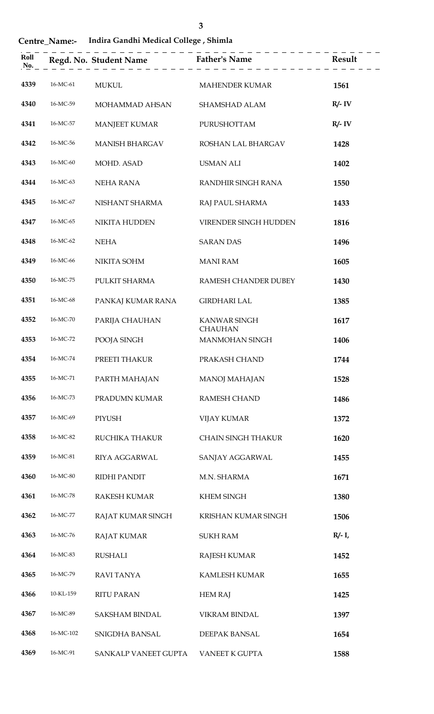**Centre\_Name:- Indira Gandhi Medical College , Shimla** 

| Roll<br>No. |           | Regd. No. Student Name Father's Name |                                | <b>Result</b> |
|-------------|-----------|--------------------------------------|--------------------------------|---------------|
| 4339        | 16-MC-61  | <b>MUKUL</b>                         | <b>MAHENDER KUMAR</b>          | 1561          |
| 4340        | 16-MC-59  | MOHAMMAD AHSAN                       | SHAMSHAD ALAM                  | $R/- IV$      |
| 4341        | 16-MC-57  | <b>MANJEET KUMAR</b>                 | PURUSHOTTAM                    | $R/- IV$      |
| 4342        | 16-MC-56  | <b>MANISH BHARGAV</b>                | ROSHAN LAL BHARGAV             | 1428          |
| 4343        | 16-MC-60  | MOHD. ASAD                           | <b>USMAN ALI</b>               | 1402          |
| 4344        | 16-MC-63  | NEHA RANA                            | RANDHIR SINGH RANA             | 1550          |
| 4345        | 16-MC-67  | NISHANT SHARMA                       | RAJ PAUL SHARMA                | 1433          |
| 4347        | 16-MC-65  | NIKITA HUDDEN                        | VIRENDER SINGH HUDDEN          | 1816          |
| 4348        | 16-MC-62  | <b>NEHA</b>                          | <b>SARAN DAS</b>               | 1496          |
| 4349        | 16-MC-66  | NIKITA SOHM                          | <b>MANI RAM</b>                | 1605          |
| 4350        | 16-MC-75  | PULKIT SHARMA                        | RAMESH CHANDER DUBEY           | 1430          |
| 4351        | 16-MC-68  | PANKAJ KUMAR RANA                    | <b>GIRDHARI LAL</b>            | 1385          |
| 4352        | 16-MC-70  | PARIJA CHAUHAN                       | KANWAR SINGH<br><b>CHAUHAN</b> | 1617          |
| 4353        | 16-MC-72  | POOJA SINGH                          | MANMOHAN SINGH                 | 1406          |
| 4354        | 16-MC-74  | PREETI THAKUR                        | PRAKASH CHAND                  | 1744          |
| 4355        | 16-MC-71  | PARTH MAHAJAN                        | <b>MANOJ MAHAJAN</b>           | 1528          |
| 4356        | 16-MC-73  | PRADUMN KUMAR                        | <b>RAMESH CHAND</b>            | 1486          |
| 4357        | 16-MC-69  | <b>PIYUSH</b>                        | <b>VIJAY KUMAR</b>             | 1372          |
| 4358        | 16-MC-82  | RUCHIKA THAKUR                       | <b>CHAIN SINGH THAKUR</b>      | 1620          |
| 4359        | 16-MC-81  | RIYA AGGARWAL                        | SANJAY AGGARWAL                | 1455          |
| 4360        | 16-MC-80  | RIDHI PANDIT                         | M.N. SHARMA                    | 1671          |
| 4361        | 16-MC-78  | <b>RAKESH KUMAR</b>                  | <b>KHEM SINGH</b>              | 1380          |
| 4362        | 16-MC-77  | RAJAT KUMAR SINGH                    | KRISHAN KUMAR SINGH            | 1506          |
| 4363        | 16-MC-76  | <b>RAJAT KUMAR</b>                   | <b>SUKH RAM</b>                | $R/- I$       |
| 4364        | 16-MC-83  | <b>RUSHALI</b>                       | <b>RAJESH KUMAR</b>            | 1452          |
| 4365        | 16-MC-79  | <b>RAVI TANYA</b>                    | KAMLESH KUMAR                  | 1655          |
| 4366        | 10-KL-159 | <b>RITU PARAN</b>                    | <b>HEM RAJ</b>                 | 1425          |
| 4367        | 16-MC-89  | SAKSHAM BINDAL                       | VIKRAM BINDAL                  | 1397          |
| 4368        | 16-MC-102 | SNIGDHA BANSAL                       | <b>DEEPAK BANSAL</b>           | 1654          |
| 4369        | 16-MC-91  | SANKALP VANEET GUPTA                 | VANEET K GUPTA                 | 1588          |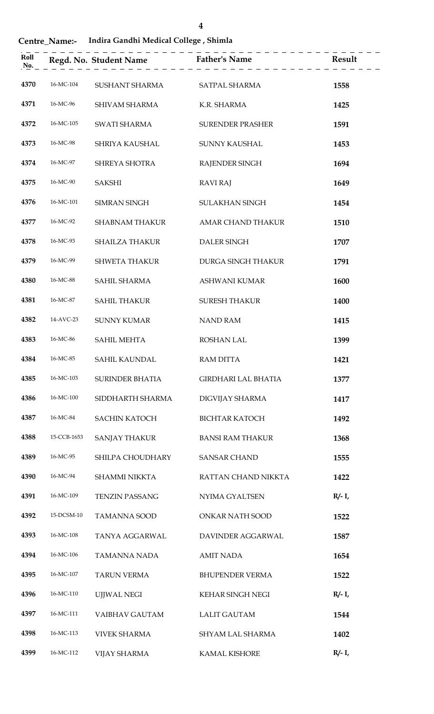### **Centre\_Name:- Indira Gandhi Medical College , Shimla**

| Roll<br>No. |             |                              | Regd. No. Student Name Father's Name $\overline{\phantom{1}}$ $\overline{\phantom{1}}$ $\overline{\phantom{1}}$ $\overline{\phantom{1}}$ $\overline{\phantom{1}}$ $\overline{\phantom{1}}$ $\overline{\phantom{1}}$ $\overline{\phantom{1}}$ $\overline{\phantom{1}}$ $\overline{\phantom{1}}$ $\overline{\phantom{1}}$ $\overline{\phantom{1}}$ $\overline{\phantom{1}}$ $\overline{\phantom{1}}$ $\overline{\phantom{1}}$ $\overline$ |           |
|-------------|-------------|------------------------------|-----------------------------------------------------------------------------------------------------------------------------------------------------------------------------------------------------------------------------------------------------------------------------------------------------------------------------------------------------------------------------------------------------------------------------------------|-----------|
| 4370        | 16-MC-104   | SUSHANT SHARMA SATPAL SHARMA |                                                                                                                                                                                                                                                                                                                                                                                                                                         | 1558      |
| 4371        | 16-MC-96    | SHIVAM SHARMA                | K.R. SHARMA                                                                                                                                                                                                                                                                                                                                                                                                                             | 1425      |
| 4372        | 16-MC-105   | SWATI SHARMA                 | <b>SURENDER PRASHER</b>                                                                                                                                                                                                                                                                                                                                                                                                                 | 1591      |
| 4373        | 16-MC-98    | SHRIYA KAUSHAL               | SUNNY KAUSHAL                                                                                                                                                                                                                                                                                                                                                                                                                           | 1453      |
| 4374        | 16-MC-97    | SHREYA SHOTRA                | RAJENDER SINGH                                                                                                                                                                                                                                                                                                                                                                                                                          | 1694      |
| 4375        | 16-MC-90    | <b>SAKSHI</b>                | <b>RAVI RAJ</b>                                                                                                                                                                                                                                                                                                                                                                                                                         | 1649      |
| 4376        | 16-MC-101   | <b>SIMRAN SINGH</b>          | <b>SULAKHAN SINGH</b>                                                                                                                                                                                                                                                                                                                                                                                                                   | 1454      |
| 4377        | 16-MC-92    | <b>SHABNAM THAKUR</b>        | AMAR CHAND THAKUR                                                                                                                                                                                                                                                                                                                                                                                                                       | 1510      |
| 4378        | 16-MC-93    | <b>SHAILZA THAKUR</b>        | <b>DALER SINGH</b>                                                                                                                                                                                                                                                                                                                                                                                                                      | 1707      |
| 4379        | 16-MC-99    | <b>SHWETA THAKUR</b>         | DURGA SINGH THAKUR                                                                                                                                                                                                                                                                                                                                                                                                                      | 1791      |
| 4380        | 16-MC-88    | SAHIL SHARMA                 | ASHWANI KUMAR                                                                                                                                                                                                                                                                                                                                                                                                                           | 1600      |
| 4381        | 16-MC-87    | <b>SAHIL THAKUR</b>          | <b>SURESH THAKUR</b>                                                                                                                                                                                                                                                                                                                                                                                                                    | 1400      |
| 4382        | 14-AVC-23   | <b>SUNNY KUMAR</b>           | <b>NAND RAM</b>                                                                                                                                                                                                                                                                                                                                                                                                                         | 1415      |
| 4383        | 16-MC-86    | <b>SAHIL MEHTA</b>           | <b>ROSHAN LAL</b>                                                                                                                                                                                                                                                                                                                                                                                                                       | 1399      |
| 4384        | 16-MC-85    | SAHIL KAUNDAL                | <b>RAM DITTA</b>                                                                                                                                                                                                                                                                                                                                                                                                                        | 1421      |
| 4385        | 16-MC-103   | SURINDER BHATIA              | <b>GIRDHARI LAL BHATIA</b>                                                                                                                                                                                                                                                                                                                                                                                                              | 1377      |
| 4386        | 16-MC-100   | SIDDHARTH SHARMA             | DIGVIJAY SHARMA                                                                                                                                                                                                                                                                                                                                                                                                                         | 1417      |
| 4387        | 16-MC-84    | <b>SACHIN KATOCH</b>         | <b>BICHTAR KATOCH</b>                                                                                                                                                                                                                                                                                                                                                                                                                   | 1492      |
| 4388        | 15-CCB-1653 | <b>SANJAY THAKUR</b>         | <b>BANSI RAM THAKUR</b>                                                                                                                                                                                                                                                                                                                                                                                                                 | 1368      |
| 4389        | 16-MC-95    | SHILPA CHOUDHARY             | <b>SANSAR CHAND</b>                                                                                                                                                                                                                                                                                                                                                                                                                     | 1555      |
| 4390        | 16-MC-94    | <b>SHAMMI NIKKTA</b>         | RATTAN CHAND NIKKTA                                                                                                                                                                                                                                                                                                                                                                                                                     | 1422      |
| 4391        | 16-MC-109   | <b>TENZIN PASSANG</b>        | NYIMA GYALTSEN                                                                                                                                                                                                                                                                                                                                                                                                                          | $R/- I$ , |
| 4392        | 15-DCSM-10  | <b>TAMANNA SOOD</b>          | ONKAR NATH SOOD                                                                                                                                                                                                                                                                                                                                                                                                                         | 1522      |
| 4393        | 16-MC-108   | TANYA AGGARWAL               | DAVINDER AGGARWAL                                                                                                                                                                                                                                                                                                                                                                                                                       | 1587      |
| 4394        | 16-MC-106   | <b>TAMANNA NADA</b>          | <b>AMIT NADA</b>                                                                                                                                                                                                                                                                                                                                                                                                                        | 1654      |
| 4395        | 16-MC-107   | <b>TARUN VERMA</b>           | <b>BHUPENDER VERMA</b>                                                                                                                                                                                                                                                                                                                                                                                                                  | 1522      |
| 4396        | 16-MC-110   | <b>UJJWAL NEGI</b>           | KEHAR SINGH NEGI                                                                                                                                                                                                                                                                                                                                                                                                                        | $R/- I$ , |
| 4397        | 16-MC-111   | VAIBHAV GAUTAM               | <b>LALIT GAUTAM</b>                                                                                                                                                                                                                                                                                                                                                                                                                     | 1544      |
| 4398        | 16-MC-113   | <b>VIVEK SHARMA</b>          | <b>SHYAM LAL SHARMA</b>                                                                                                                                                                                                                                                                                                                                                                                                                 | 1402      |
| 4399        | 16-MC-112   | <b>VIJAY SHARMA</b>          | <b>KAMAL KISHORE</b>                                                                                                                                                                                                                                                                                                                                                                                                                    | $R/- I$ , |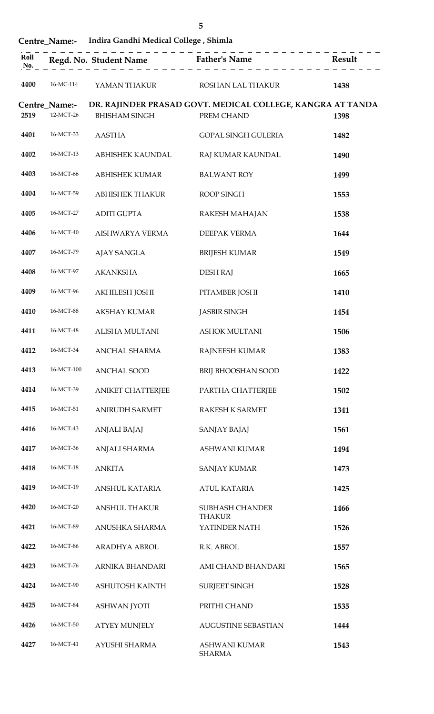|      |                            |                                                     | 5                                                                        |                                                  |
|------|----------------------------|-----------------------------------------------------|--------------------------------------------------------------------------|--------------------------------------------------|
|      |                            | Centre Name:- Indira Gandhi Medical College, Shimla |                                                                          |                                                  |
|      |                            |                                                     | . _ _ _ _ _ _ _ _ _ _ _ _ _ _ _                                          | _ _ _ _ _ _ _ _ _ _ _ _ _ _ _ _<br><b>Result</b> |
| 4400 | 16-MC-114                  |                                                     | YAMAN THAKUR                            ROSHAN LAL THAKUR                | 1438                                             |
| 2519 | Centre_Name:-<br>12-MCT-26 | <b>BHISHAM SINGH</b>                                | DR. RAJINDER PRASAD GOVT. MEDICAL COLLEGE, KANGRA AT TANDA<br>PREM CHAND | 1398                                             |
| 4401 | 16-MCT-33                  | <b>AASTHA</b>                                       | GOPAL SINGH GULERIA                                                      | 1482                                             |
| 4402 | 16-MCT-13                  | ABHISHEK KAUNDAL                                    | RAJ KUMAR KAUNDAL                                                        | 1490                                             |
| 4403 | 16-MCT-66                  | ABHISHEK KUMAR                                      | <b>BALWANT ROY</b>                                                       | 1499                                             |
| 4404 | 16-MCT-59                  | ABHISHEK THAKUR                                     | ROOP SINGH                                                               | 1553                                             |
| 4405 | 16-MCT-27                  | ADITI GUPTA                                         | RAKESH MAHAJAN                                                           | 1538                                             |
| 4406 | 16-MCT-40                  | AISHWARYA VERMA                                     | <b>DEEPAK VERMA</b>                                                      | 1644                                             |
| 4407 | 16-MCT-79                  | AJAY SANGLA                                         | <b>BRIJESH KUMAR</b>                                                     | 1549                                             |
| 4408 | 16-MCT-97                  | <b>AKANKSHA</b>                                     | <b>DESH RAJ</b>                                                          | 1665                                             |
| 4409 | 16-MCT-96                  | AKHILESH JOSHI                                      | PITAMBER JOSHI                                                           | 1410                                             |
|      |                            | 4410 16-MCT-88 AKSHAY KUMAR                         | JASBIR SINGH                                                             | 1454                                             |
| 4411 | 16-MCT-48                  | ALISHA MULTANI                                      | <b>ASHOK MULTANI</b>                                                     | 1506                                             |
| 4412 | 16-MCT-34                  | ANCHAL SHARMA                                       | RAJNEESH KUMAR                                                           | 1383                                             |
| 4413 | 16-MCT-100                 | <b>ANCHAL SOOD</b>                                  | <b>BRIJ BHOOSHAN SOOD</b>                                                | 1422                                             |
| 4414 | 16-MCT-39                  | <b>ANIKET CHATTERJEE</b>                            | PARTHA CHATTERJEE                                                        | 1502                                             |
| 4415 | 16-MCT-51                  | ANIRUDH SARMET                                      | RAKESH K SARMET                                                          | 1341                                             |
| 4416 | 16-MCT-43                  | ANJALI BAJAJ                                        | SANJAY BAJAJ                                                             | 1561                                             |
| 4417 | 16-MCT-36                  | ANJALI SHARMA                                       | ASHWANI KUMAR                                                            | 1494                                             |
| 4418 | 16-MCT-18                  | <b>ANKITA</b>                                       | <b>SANJAY KUMAR</b>                                                      | 1473                                             |
| 4419 | 16-MCT-19                  | ANSHUL KATARIA                                      | <b>ATUL KATARIA</b>                                                      | 1425                                             |
| 4420 | 16-MCT-20                  | <b>ANSHUL THAKUR</b>                                | <b>SUBHASH CHANDER</b><br><b>THAKUR</b>                                  | 1466                                             |

| 4416 | 16-MCT-43 | <b>ANJALI BAJAJ</b>  | SANJAY BAJAJ                            | 1561 |
|------|-----------|----------------------|-----------------------------------------|------|
| 4417 | 16-MCT-36 | ANJALI SHARMA        | ASHWANI KUMAR                           | 1494 |
| 4418 | 16-MCT-18 | <b>ANKITA</b>        | <b>SANJAY KUMAR</b>                     | 1473 |
| 4419 | 16-MCT-19 | ANSHUL KATARIA       | <b>ATUL KATARIA</b>                     | 1425 |
| 4420 | 16-MCT-20 | <b>ANSHUL THAKUR</b> | <b>SUBHASH CHANDER</b><br><b>THAKUR</b> | 1466 |
| 4421 | 16-MCT-89 | ANUSHKA SHARMA       | YATINDER NATH                           | 1526 |
| 4422 | 16-MCT-86 | <b>ARADHYA ABROL</b> | R.K. ABROL                              | 1557 |
| 4423 | 16-MCT-76 | ARNIKA BHANDARI      | AMI CHAND BHANDARI                      | 1565 |
| 4424 | 16-MCT-90 | ASHUTOSH KAINTH      | <b>SURJEET SINGH</b>                    | 1528 |
| 4425 | 16-MCT-84 | <b>ASHWAN JYOTI</b>  | PRITHI CHAND                            | 1535 |
| 4426 | 16-MCT-50 | <b>ATYEY MUNJELY</b> | <b>AUGUSTINE SEBASTIAN</b>              | 1444 |
| 4427 | 16-MCT-41 | AYUSHI SHARMA        | <b>ASHWANI KUMAR</b><br><b>SHARMA</b>   | 1543 |
|      |           |                      |                                         |      |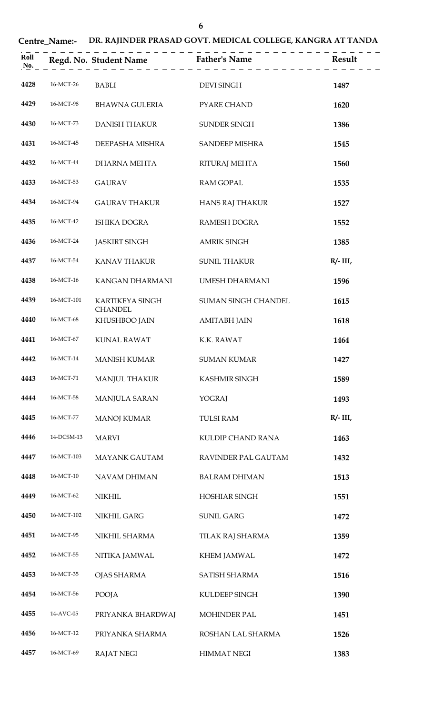# **Centre\_Name:- DR. RAJINDER PRASAD GOVT. MEDICAL COLLEGE, KANGRA AT TANDA**

| Roll<br>No. |            |                                   | Regd. No. Student Name<br>$\begin{array}{c} \text{Rend.}$ $\begin{array}{c} \text{Rend.}$ $\begin{array}{c} \text{Rend.}$ |             |
|-------------|------------|-----------------------------------|---------------------------------------------------------------------------------------------------------------------------|-------------|
| 4428        | 16-MCT-26  | <b>BABLI</b>                      | <b>DEVI SINGH</b>                                                                                                         | 1487        |
| 4429        | 16-MCT-98  | BHAWNA GULERIA                    | PYARE CHAND                                                                                                               | 1620        |
| 4430        | 16-MCT-73  | <b>DANISH THAKUR</b>              | SUNDER SINGH                                                                                                              | 1386        |
| 4431        | 16-MCT-45  | DEEPASHA MISHRA                   | <b>SANDEEP MISHRA</b>                                                                                                     | 1545        |
| 4432        | 16-MCT-44  | <b>DHARNA MEHTA</b>               | <b>RITURAJ MEHTA</b>                                                                                                      | 1560        |
| 4433        | 16-MCT-53  | <b>GAURAV</b>                     | <b>RAM GOPAL</b>                                                                                                          | 1535        |
| 4434        | 16-MCT-94  | <b>GAURAV THAKUR</b>              | <b>HANS RAJ THAKUR</b>                                                                                                    | 1527        |
| 4435        | 16-MCT-42  | <b>ISHIKA DOGRA</b>               | <b>RAMESH DOGRA</b>                                                                                                       | 1552        |
| 4436        | 16-MCT-24  | <b>JASKIRT SINGH</b>              | <b>AMRIK SINGH</b>                                                                                                        | 1385        |
| 4437        | 16-MCT-54  | <b>KANAV THAKUR</b>               | <b>SUNIL THAKUR</b>                                                                                                       | $R/- III$ , |
| 4438        | 16-MCT-16  | KANGAN DHARMANI                   | <b>UMESH DHARMANI</b>                                                                                                     | 1596        |
| 4439        | 16-MCT-101 | KARTIKEYA SINGH<br><b>CHANDEL</b> | <b>SUMAN SINGH CHANDEL</b>                                                                                                | 1615        |
| 4440        | 16-MCT-68  | KHUSHBOO JAIN                     | <b>AMITABH JAIN</b>                                                                                                       | 1618        |
| 4441        | 16-MCT-67  | KUNAL RAWAT                       | K.K. RAWAT                                                                                                                | 1464        |
| 4442        | 16-MCT-14  | <b>MANISH KUMAR</b>               | <b>SUMAN KUMAR</b>                                                                                                        | 1427        |
| 4443        | 16-MCT-71  | <b>MANJUL THAKUR</b>              | KASHMIR SINGH                                                                                                             | 1589        |
| 4444        | 16-MCT-58  | MANJULA SARAN                     | <b>YOGRAJ</b>                                                                                                             | 1493        |
| 4445        | 16-MCT-77  | <b>MANOJ KUMAR</b>                | <b>TULSI RAM</b>                                                                                                          | $R/- III$ , |
| 4446        | 14-DCSM-13 | <b>MARVI</b>                      | <b>KULDIP CHAND RANA</b>                                                                                                  | 1463        |
| 4447        | 16-MCT-103 | <b>MAYANK GAUTAM</b>              | RAVINDER PAL GAUTAM                                                                                                       | 1432        |
| 4448        | 16-MCT-10  | NAVAM DHIMAN                      | <b>BALRAM DHIMAN</b>                                                                                                      | 1513        |
| 4449        | 16-MCT-62  | <b>NIKHIL</b>                     | <b>HOSHIAR SINGH</b>                                                                                                      | 1551        |
| 4450        | 16-MCT-102 | NIKHIL GARG                       | <b>SUNIL GARG</b>                                                                                                         | 1472        |
| 4451        | 16-MCT-95  | NIKHIL SHARMA                     | TILAK RAJ SHARMA                                                                                                          | 1359        |
| 4452        | 16-MCT-55  | NITIKA JAMWAL                     | <b>KHEM JAMWAL</b>                                                                                                        | 1472        |
| 4453        | 16-MCT-35  | <b>OJAS SHARMA</b>                | SATISH SHARMA                                                                                                             | 1516        |
| 4454        | 16-MCT-56  | <b>POOJA</b>                      | KULDEEP SINGH                                                                                                             | 1390        |
| 4455        | 14-AVC-05  | PRIYANKA BHARDWAJ                 | MOHINDER PAL                                                                                                              | 1451        |
| 4456        | 16-MCT-12  | PRIYANKA SHARMA                   | ROSHAN LAL SHARMA                                                                                                         | 1526        |
| 4457        | 16-MCT-69  | <b>RAJAT NEGI</b>                 | <b>HIMMAT NEGI</b>                                                                                                        | 1383        |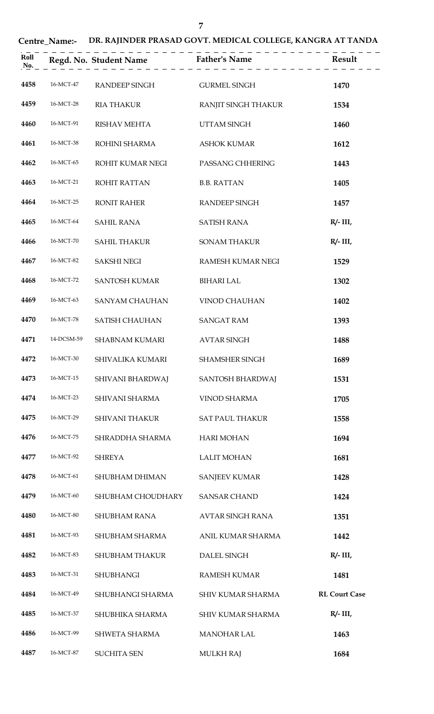## **Centre\_Name:- DR. RAJINDER PRASAD GOVT. MEDICAL COLLEGE, KANGRA AT TANDA**

| Roll<br>No. |            |                       | Regd. No. Student Name Father's Name | <b>Result</b>        |
|-------------|------------|-----------------------|--------------------------------------|----------------------|
| 4458        | 16-MCT-47  | RANDEEP SINGH         | <b>GURMEL SINGH</b>                  | 1470                 |
| 4459        | 16-MCT-28  | <b>RIA THAKUR</b>     | RANJIT SINGH THAKUR                  | 1534                 |
| 4460        | 16-MCT-91  | <b>RISHAV MEHTA</b>   | <b>UTTAM SINGH</b>                   | 1460                 |
| 4461        | 16-MCT-38  | ROHINI SHARMA         | <b>ASHOK KUMAR</b>                   | 1612                 |
| 4462        | 16-MCT-65  | ROHIT KUMAR NEGI      | PASSANG CHHERING                     | 1443                 |
| 4463        | 16-MCT-21  | <b>ROHIT RATTAN</b>   | <b>B.B. RATTAN</b>                   | 1405                 |
| 4464        | 16-MCT-25  | <b>RONIT RAHER</b>    | RANDEEP SINGH                        | 1457                 |
| 4465        | 16-MCT-64  | <b>SAHIL RANA</b>     | <b>SATISH RANA</b>                   | $R/- III$ ,          |
| 4466        | 16-MCT-70  | <b>SAHIL THAKUR</b>   | <b>SONAM THAKUR</b>                  | $R/- III$ ,          |
| 4467        | 16-MCT-82  | <b>SAKSHI NEGI</b>    | RAMESH KUMAR NEGI                    | 1529                 |
| 4468        | 16-MCT-72  | <b>SANTOSH KUMAR</b>  | <b>BIHARI LAL</b>                    | 1302                 |
| 4469        | 16-MCT-63  | <b>SANYAM CHAUHAN</b> | <b>VINOD CHAUHAN</b>                 | 1402                 |
| 4470        | 16-MCT-78  | SATISH CHAUHAN        | <b>SANGAT RAM</b>                    | 1393                 |
| 4471        | 14-DCSM-59 | <b>SHABNAM KUMARI</b> | <b>AVTAR SINGH</b>                   | 1488                 |
| 4472        | 16-MCT-30  | SHIVALIKA KUMARI      | <b>SHAMSHER SINGH</b>                | 1689                 |
| 4473        | 16-MCT-15  | SHIVANI BHARDWAJ      | SANTOSH BHARDWAJ                     | 1531                 |
| 4474        | 16-MCT-23  | SHIVANI SHARMA        | <b>VINOD SHARMA</b>                  | 1705                 |
| 4475        | 16-MCT-29  | <b>SHIVANI THAKUR</b> | <b>SAT PAUL THAKUR</b>               | 1558                 |
| 4476        | 16-MCT-75  | SHRADDHA SHARMA       | <b>HARI MOHAN</b>                    | 1694                 |
| 4477        | 16-MCT-92  | <b>SHREYA</b>         | <b>LALIT MOHAN</b>                   | 1681                 |
| 4478        | 16-MCT-61  | SHUBHAM DHIMAN        | <b>SANJEEV KUMAR</b>                 | 1428                 |
| 4479        | 16-MCT-60  | SHUBHAM CHOUDHARY     | <b>SANSAR CHAND</b>                  | 1424                 |
| 4480        | 16-MCT-80  | <b>SHUBHAM RANA</b>   | <b>AVTAR SINGH RANA</b>              | 1351                 |
| 4481        | 16-MCT-93  | SHUBHAM SHARMA        | ANIL KUMAR SHARMA                    | 1442                 |
| 4482        | 16-MCT-83  | SHUBHAM THAKUR        | DALEL SINGH                          | $R/- III$ ,          |
| 4483        | 16-MCT-31  | <b>SHUBHANGI</b>      | <b>RAMESH KUMAR</b>                  | 1481                 |
| 4484        | 16-MCT-49  | SHUBHANGI SHARMA      | SHIV KUMAR SHARMA                    | <b>RL Court Case</b> |
| 4485        | 16-MCT-37  | SHUBHIKA SHARMA       | SHIV KUMAR SHARMA                    | $R/- III$ ,          |
| 4486        | 16-MCT-99  | SHWETA SHARMA         | <b>MANOHAR LAL</b>                   | 1463                 |
| 4487        | 16-MCT-87  | <b>SUCHITA SEN</b>    | <b>MULKH RAJ</b>                     | 1684                 |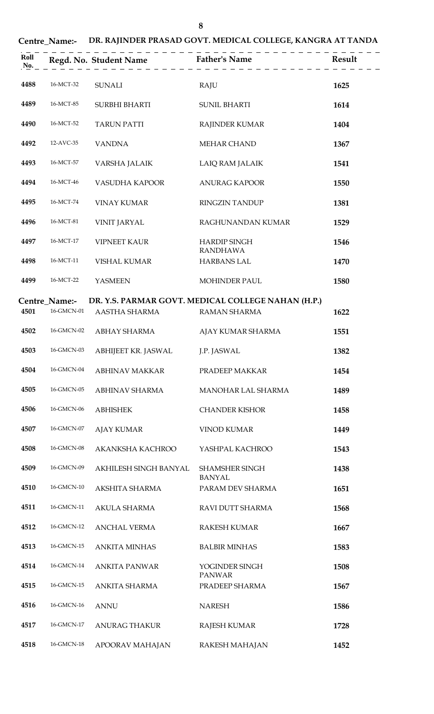# **Centre\_Name:- DR. RAJINDER PRASAD GOVT. MEDICAL COLLEGE, KANGRA AT TANDA**

| Roll<br>No. |                                                                     |                       | Regd. No. Student Name Father's Name Result |      |
|-------------|---------------------------------------------------------------------|-----------------------|---------------------------------------------|------|
| 4488        | 16-MCT-32                                                           | <b>SUNALI</b>         | RAJU                                        | 1625 |
| 4489        | 16-MCT-85                                                           | <b>SURBHI BHARTI</b>  | <b>SUNIL BHARTI</b>                         | 1614 |
| 4490        | 16-MCT-52                                                           | <b>TARUN PATTI</b>    | <b>RAJINDER KUMAR</b>                       | 1404 |
| 4492        | 12-AVC-35                                                           | <b>VANDNA</b>         | MEHAR CHAND                                 | 1367 |
| 4493        | 16-MCT-57                                                           | VARSHA JALAIK         | LAIQ RAM JALAIK                             | 1541 |
| 4494        | 16-MCT-46                                                           | VASUDHA KAPOOR        | <b>ANURAG KAPOOR</b>                        | 1550 |
| 4495        | 16-MCT-74                                                           | <b>VINAY KUMAR</b>    | RINGZIN TANDUP                              | 1381 |
| 4496        | 16-MCT-81                                                           | <b>VINIT JARYAL</b>   | RAGHUNANDAN KUMAR                           | 1529 |
| 4497        | 16-MCT-17                                                           | <b>VIPNEET KAUR</b>   | <b>HARDIP SINGH</b>                         | 1546 |
| 4498        | 16-MCT-11                                                           | <b>VISHAL KUMAR</b>   | <b>RANDHAWA</b><br><b>HARBANS LAL</b>       | 1470 |
| 4499        | 16-MCT-22                                                           | <b>YASMEEN</b>        | <b>MOHINDER PAUL</b>                        | 1580 |
|             | DR. Y.S. PARMAR GOVT. MEDICAL COLLEGE NAHAN (H.P.)<br>Centre_Name:- |                       |                                             |      |
| 4501        | 16-GMCN-01                                                          | AASTHA SHARMA         | RAMAN SHARMA                                | 1622 |
| 4502        | 16-GMCN-02                                                          | ABHAY SHARMA          | AJAY KUMAR SHARMA                           | 1551 |
| 4503        | 16-GMCN-03                                                          | ABHIJEET KR. JASWAL   | J.P. JASWAL                                 | 1382 |
| 4504        | 16-GMCN-04                                                          | <b>ABHINAV MAKKAR</b> | PRADEEP MAKKAR                              | 1454 |
| 4505        | 16-GMCN-05                                                          | ABHINAV SHARMA        | MANOHAR LAL SHARMA                          | 1489 |
| 4506        | 16-GMCN-06                                                          | <b>ABHISHEK</b>       | <b>CHANDER KISHOR</b>                       | 1458 |
| 4507        | 16-GMCN-07                                                          | <b>AJAY KUMAR</b>     | <b>VINOD KUMAR</b>                          | 1449 |
| 4508        | 16-GMCN-08                                                          | AKANKSHA KACHROO      | YASHPAL KACHROO                             | 1543 |
| 4509        | 16-GMCN-09                                                          | AKHILESH SINGH BANYAL | <b>SHAMSHER SINGH</b>                       | 1438 |
| 4510        | 16-GMCN-10                                                          | AKSHITA SHARMA        | <b>BANYAL</b><br>PARAM DEV SHARMA           | 1651 |
| 4511        | 16-GMCN-11                                                          | <b>AKULA SHARMA</b>   | RAVI DUTT SHARMA                            | 1568 |
| 4512        | 16-GMCN-12                                                          | <b>ANCHAL VERMA</b>   | <b>RAKESH KUMAR</b>                         | 1667 |
| 4513        | 16-GMCN-15                                                          | <b>ANKITA MINHAS</b>  | <b>BALBIR MINHAS</b>                        | 1583 |
| 4514        | 16-GMCN-14                                                          | <b>ANKITA PANWAR</b>  | YOGINDER SINGH                              | 1508 |
| 4515        | 16-GMCN-15                                                          | ANKITA SHARMA         | <b>PANWAR</b><br>PRADEEP SHARMA             | 1567 |
| 4516        | 16-GMCN-16                                                          | <b>ANNU</b>           | <b>NARESH</b>                               | 1586 |
| 4517        | 16-GMCN-17                                                          | <b>ANURAG THAKUR</b>  | <b>RAJESH KUMAR</b>                         | 1728 |
| 4518        | 16-GMCN-18                                                          | APOORAV MAHAJAN       | RAKESH MAHAJAN                              | 1452 |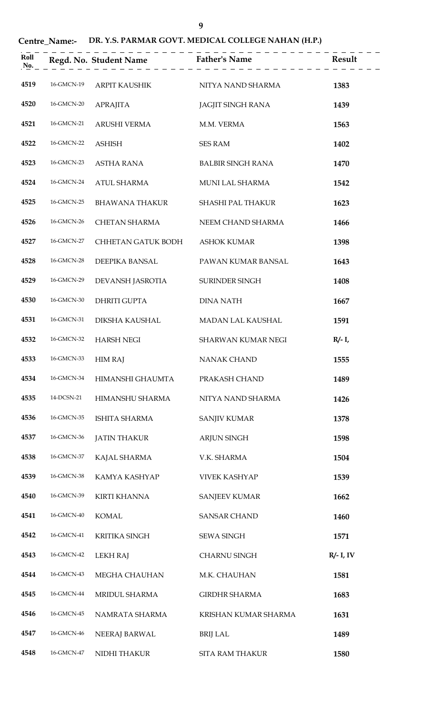**Centre\_Name:- DR. Y.S. PARMAR GOVT. MEDICAL COLLEGE NAHAN (H.P.)**

| Roll<br>No. |            |                       | _ _ _ _ _ _ _ _ _ _ _ _<br>Regd. No. Student Name Father's Name Father's Name Result |              |
|-------------|------------|-----------------------|--------------------------------------------------------------------------------------|--------------|
| 4519        | 16-GMCN-19 | ARPIT KAUSHIK         | NITYA NAND SHARMA                                                                    | 1383         |
| 4520        | 16-GMCN-20 | <b>APRAJITA</b>       | <b>JAGJIT SINGH RANA</b>                                                             | 1439         |
| 4521        | 16-GMCN-21 | ARUSHI VERMA          | M.M. VERMA                                                                           | 1563         |
| 4522        | 16-GMCN-22 | <b>ASHISH</b>         | <b>SES RAM</b>                                                                       | 1402         |
| 4523        | 16-GMCN-23 | ASTHA RANA            | <b>BALBIR SINGH RANA</b>                                                             | 1470         |
| 4524        | 16-GMCN-24 | ATUL SHARMA           | MUNI LAL SHARMA                                                                      | 1542         |
| 4525        | 16-GMCN-25 | <b>BHAWANA THAKUR</b> | SHASHI PAL THAKUR                                                                    | 1623         |
| 4526        | 16-GMCN-26 | <b>CHETAN SHARMA</b>  | NEEM CHAND SHARMA                                                                    | 1466         |
| 4527        | 16-GMCN-27 | CHHETAN GATUK BODH    | <b>ASHOK KUMAR</b>                                                                   | 1398         |
| 4528        | 16-GMCN-28 | DEEPIKA BANSAL        | PAWAN KUMAR BANSAL                                                                   | 1643         |
| 4529        | 16-GMCN-29 | DEVANSH JASROTIA      | SURINDER SINGH                                                                       | 1408         |
| 4530        | 16-GMCN-30 | DHRITI GUPTA          | <b>DINA NATH</b>                                                                     | 1667         |
| 4531        | 16-GMCN-31 | DIKSHA KAUSHAL        | MADAN LAL KAUSHAL                                                                    | 1591         |
| 4532        | 16-GMCN-32 | <b>HARSH NEGI</b>     | <b>SHARWAN KUMAR NEGI</b>                                                            | $R/- I$ ,    |
| 4533        | 16-GMCN-33 | <b>HIM RAJ</b>        | <b>NANAK CHAND</b>                                                                   | 1555         |
| 4534        | 16-GMCN-34 | HIMANSHI GHAUMTA      | PRAKASH CHAND                                                                        | 1489         |
| 4535        | 14-DCSN-21 | HIMANSHU SHARMA       | NITYA NAND SHARMA                                                                    | 1426         |
| 4536        | 16-GMCN-35 | <b>ISHITA SHARMA</b>  | <b>SANJIV KUMAR</b>                                                                  | 1378         |
| 4537        | 16-GMCN-36 | <b>JATIN THAKUR</b>   | <b>ARJUN SINGH</b>                                                                   | 1598         |
| 4538        | 16-GMCN-37 | KAJAL SHARMA          | V.K. SHARMA                                                                          | 1504         |
| 4539        | 16-GMCN-38 | KAMYA KASHYAP         | <b>VIVEK KASHYAP</b>                                                                 | 1539         |
| 4540        | 16-GMCN-39 | <b>KIRTI KHANNA</b>   | <b>SANJEEV KUMAR</b>                                                                 | 1662         |
| 4541        | 16-GMCN-40 | <b>KOMAL</b>          | <b>SANSAR CHAND</b>                                                                  | 1460         |
| 4542        | 16-GMCN-41 | <b>KRITIKA SINGH</b>  | <b>SEWA SINGH</b>                                                                    | 1571         |
| 4543        | 16-GMCN-42 | <b>LEKH RAJ</b>       | <b>CHARNU SINGH</b>                                                                  | $R/- I$ , IV |
| 4544        | 16-GMCN-43 | MEGHA CHAUHAN         | M.K. CHAUHAN                                                                         | 1581         |
| 4545        | 16-GMCN-44 | MRIDUL SHARMA         | <b>GIRDHR SHARMA</b>                                                                 | 1683         |
| 4546        | 16-GMCN-45 | NAMRATA SHARMA        | KRISHAN KUMAR SHARMA                                                                 | 1631         |
| 4547        | 16-GMCN-46 | NEERAJ BARWAL         | <b>BRIJ LAL</b>                                                                      | 1489         |
| 4548        | 16-GMCN-47 | NIDHI THAKUR          | <b>SITA RAM THAKUR</b>                                                               | 1580         |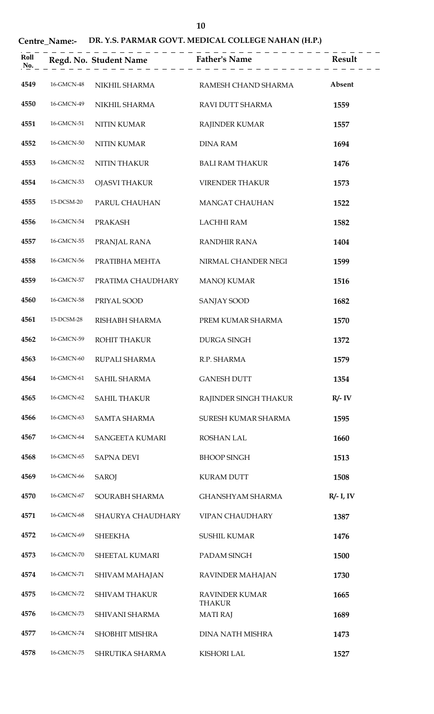## **Centre\_Name:- DR. Y.S. PARMAR GOVT. MEDICAL COLLEGE NAHAN (H.P.)**

| Roll<br>No. |            |                       | . _ _ _ _ _ _ _ _ _<br>Regd. No. Student Name Father's Name | Result       |
|-------------|------------|-----------------------|-------------------------------------------------------------|--------------|
| 4549        | 16-GMCN-48 | NIKHIL SHARMA         | RAMESH CHAND SHARMA                                         | Absent       |
| 4550        | 16-GMCN-49 | NIKHIL SHARMA         | RAVI DUTT SHARMA                                            | 1559         |
| 4551        | 16-GMCN-51 | NITIN KUMAR           | RAJINDER KUMAR                                              | 1557         |
| 4552        | 16-GMCN-50 | <b>NITIN KUMAR</b>    | <b>DINA RAM</b>                                             | 1694         |
| 4553        | 16-GMCN-52 | NITIN THAKUR          | <b>BALI RAM THAKUR</b>                                      | 1476         |
| 4554        | 16-GMCN-53 | OJASVI THAKUR         | <b>VIRENDER THAKUR</b>                                      | 1573         |
| 4555        | 15-DCSM-20 | PARUL CHAUHAN         | <b>MANGAT CHAUHAN</b>                                       | 1522         |
| 4556        | 16-GMCN-54 | <b>PRAKASH</b>        | <b>LACHHI RAM</b>                                           | 1582         |
| 4557        | 16-GMCN-55 | PRANJAL RANA          | <b>RANDHIR RANA</b>                                         | 1404         |
| 4558        | 16-GMCN-56 | PRATIBHA MEHTA        | NIRMAL CHANDER NEGI                                         | 1599         |
| 4559        | 16-GMCN-57 | PRATIMA CHAUDHARY     | <b>MANOJ KUMAR</b>                                          | 1516         |
| 4560        | 16-GMCN-58 | PRIYAL SOOD           | <b>SANJAY SOOD</b>                                          | 1682         |
| 4561        | 15-DCSM-28 | RISHABH SHARMA        | PREM KUMAR SHARMA                                           | 1570         |
| 4562        | 16-GMCN-59 | ROHIT THAKUR          | <b>DURGA SINGH</b>                                          | 1372         |
| 4563        | 16-GMCN-60 | RUPALI SHARMA         | R.P. SHARMA                                                 | 1579         |
| 4564        | 16-GMCN-61 | SAHIL SHARMA          | <b>GANESH DUTT</b>                                          | 1354         |
| 4565        | 16-GMCN-62 | <b>SAHIL THAKUR</b>   | RAJINDER SINGH THAKUR                                       | $R/- IV$     |
| 4566        | 16-GMCN-63 | <b>SAMTA SHARMA</b>   | SURESH KUMAR SHARMA                                         | 1595         |
| 4567        | 16-GMCN-64 | SANGEETA KUMARI       | <b>ROSHAN LAL</b>                                           | 1660         |
| 4568        | 16-GMCN-65 | <b>SAPNA DEVI</b>     | <b>BHOOP SINGH</b>                                          | 1513         |
| 4569        | 16-GMCN-66 | <b>SAROJ</b>          | <b>KURAM DUTT</b>                                           | 1508         |
| 4570        | 16-GMCN-67 | SOURABH SHARMA        | <b>GHANSHYAM SHARMA</b>                                     | $R/- I$ , IV |
| 4571        | 16-GMCN-68 | SHAURYA CHAUDHARY     | <b>VIPAN CHAUDHARY</b>                                      | 1387         |
| 4572        | 16-GMCN-69 | <b>SHEEKHA</b>        | <b>SUSHIL KUMAR</b>                                         | 1476         |
| 4573        | 16-GMCN-70 | SHEETAL KUMARI        | PADAM SINGH                                                 | 1500         |
| 4574        | 16-GMCN-71 | SHIVAM MAHAJAN        | RAVINDER MAHAJAN                                            | 1730         |
| 4575        | 16-GMCN-72 | <b>SHIVAM THAKUR</b>  | <b>RAVINDER KUMAR</b><br><b>THAKUR</b>                      | 1665         |
| 4576        | 16-GMCN-73 | SHIVANI SHARMA        | <b>MATI RAJ</b>                                             | 1689         |
| 4577        | 16-GMCN-74 | <b>SHOBHIT MISHRA</b> | <b>DINA NATH MISHRA</b>                                     | 1473         |
| 4578        | 16-GMCN-75 | SHRUTIKA SHARMA       | <b>KISHORI LAL</b>                                          | 1527         |